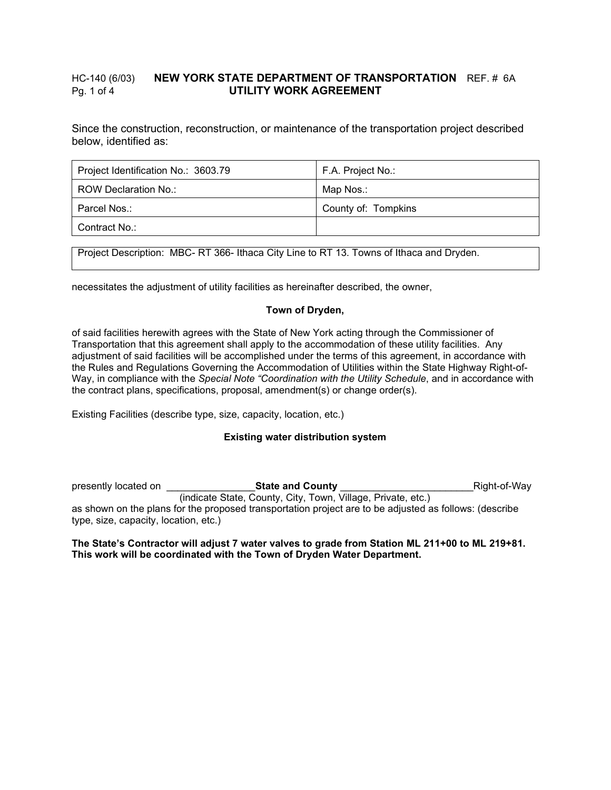## HC-140 (6/03) **NEW YORK STATE DEPARTMENT OF TRANSPORTATION** REF. # 6A Pg. 1 of 4 **UTILITY WORK AGREEMENT**

Since the construction, reconstruction, or maintenance of the transportation project described below, identified as:

| Project Identification No.: 3603.79 | F.A. Project No.:   |
|-------------------------------------|---------------------|
| ROW Declaration No.:                | Map Nos.:           |
| Parcel Nos.:                        | County of: Tompkins |
| Contract No.:                       |                     |

Project Description: MBC- RT 366- Ithaca City Line to RT 13. Towns of Ithaca and Dryden.

necessitates the adjustment of utility facilities as hereinafter described, the owner,

## **Town of Dryden,**

of said facilities herewith agrees with the State of New York acting through the Commissioner of Transportation that this agreement shall apply to the accommodation of these utility facilities. Any adjustment of said facilities will be accomplished under the terms of this agreement, in accordance with the Rules and Regulations Governing the Accommodation of Utilities within the State Highway Right-of-Way, in compliance with the *Special Note "Coordination with the Utility Schedule*, and in accordance with the contract plans, specifications, proposal, amendment(s) or change order(s).

Existing Facilities (describe type, size, capacity, location, etc.)

## **Existing water distribution system**

presently located on \_\_\_\_\_\_\_\_\_\_\_\_\_\_\_\_**State and County** \_\_\_\_\_\_\_\_\_\_\_\_\_\_\_\_\_\_\_\_\_\_\_\_Right-of-Way (indicate State, County, City, Town, Village, Private, etc.) as shown on the plans for the proposed transportation project are to be adjusted as follows: (describe type, size, capacity, location, etc.)

### **The State's Contractor will adjust 7 water valves to grade from Station ML 211+00 to ML 219+81. This work will be coordinated with the Town of Dryden Water Department.**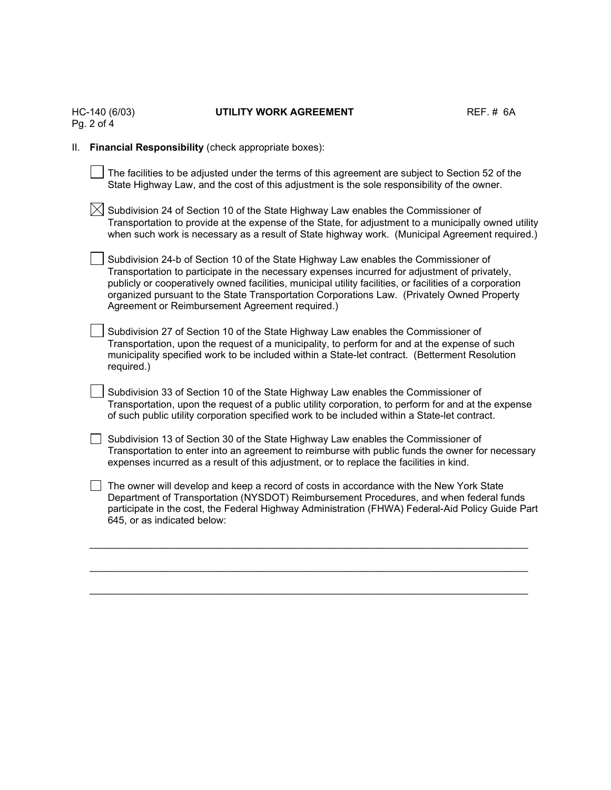|    | HC-140 (6/03)<br>Pg. 2 of 4 | UTILITY WORK AGREEMENT                                                                                                                                                                                                                                                                                                                                                                                                                            | REF.~# 6A |  |  |
|----|-----------------------------|---------------------------------------------------------------------------------------------------------------------------------------------------------------------------------------------------------------------------------------------------------------------------------------------------------------------------------------------------------------------------------------------------------------------------------------------------|-----------|--|--|
| Ш. |                             | Financial Responsibility (check appropriate boxes):                                                                                                                                                                                                                                                                                                                                                                                               |           |  |  |
|    |                             | The facilities to be adjusted under the terms of this agreement are subject to Section 52 of the<br>State Highway Law, and the cost of this adjustment is the sole responsibility of the owner.                                                                                                                                                                                                                                                   |           |  |  |
|    |                             | Subdivision 24 of Section 10 of the State Highway Law enables the Commissioner of<br>Transportation to provide at the expense of the State, for adjustment to a municipally owned utility<br>when such work is necessary as a result of State highway work. (Municipal Agreement required.)                                                                                                                                                       |           |  |  |
|    |                             | Subdivision 24-b of Section 10 of the State Highway Law enables the Commissioner of<br>Transportation to participate in the necessary expenses incurred for adjustment of privately,<br>publicly or cooperatively owned facilities, municipal utility facilities, or facilities of a corporation<br>organized pursuant to the State Transportation Corporations Law. (Privately Owned Property<br>Agreement or Reimbursement Agreement required.) |           |  |  |
|    | required.)                  | Subdivision 27 of Section 10 of the State Highway Law enables the Commissioner of<br>Transportation, upon the request of a municipality, to perform for and at the expense of such<br>municipality specified work to be included within a State-let contract. (Betterment Resolution                                                                                                                                                              |           |  |  |
|    |                             | Subdivision 33 of Section 10 of the State Highway Law enables the Commissioner of<br>Transportation, upon the request of a public utility corporation, to perform for and at the expense<br>of such public utility corporation specified work to be included within a State-let contract.                                                                                                                                                         |           |  |  |
|    |                             | Subdivision 13 of Section 30 of the State Highway Law enables the Commissioner of<br>Transportation to enter into an agreement to reimburse with public funds the owner for necessary<br>expenses incurred as a result of this adjustment, or to replace the facilities in kind.                                                                                                                                                                  |           |  |  |
|    | 645, or as indicated below: | The owner will develop and keep a record of costs in accordance with the New York State<br>Department of Transportation (NYSDOT) Reimbursement Procedures, and when federal funds<br>participate in the cost, the Federal Highway Administration (FHWA) Federal-Aid Policy Guide Part                                                                                                                                                             |           |  |  |
|    |                             |                                                                                                                                                                                                                                                                                                                                                                                                                                                   |           |  |  |

\_\_\_\_\_\_\_\_\_\_\_\_\_\_\_\_\_\_\_\_\_\_\_\_\_\_\_\_\_\_\_\_\_\_\_\_\_\_\_\_\_\_\_\_\_\_\_\_\_\_\_\_\_\_\_\_\_\_\_\_\_\_\_\_\_\_\_\_\_\_\_\_\_\_\_\_\_\_\_

# UTILITY WORK AGREEMENT **REF. # 6A**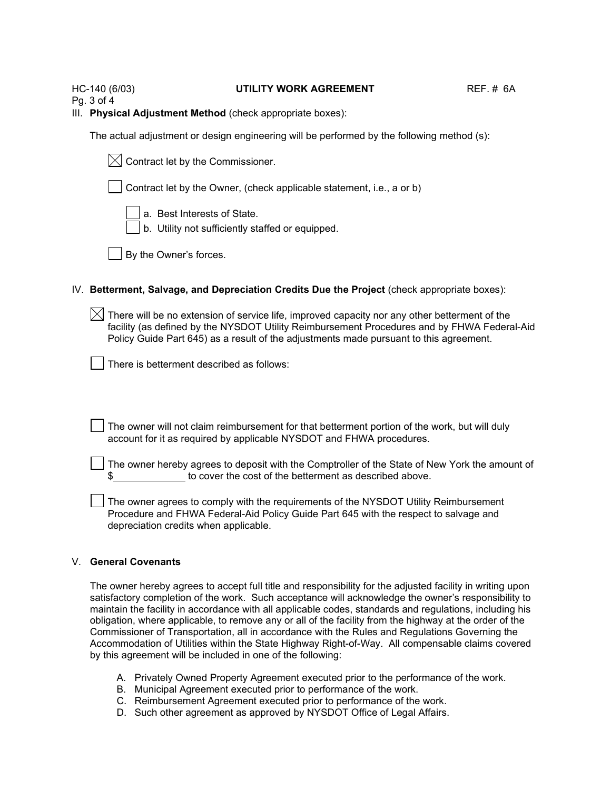#### HC-140 (6/03) **UTILITY WORK AGREEMENT** REF. # 6A

Pg. 3 of 4

III. **Physical Adjustment Method** (check appropriate boxes):

The actual adjustment or design engineering will be performed by the following method (s):

| $\boxtimes$ Contract let by the Commissioner. |  |
|-----------------------------------------------|--|
|-----------------------------------------------|--|

Contract let by the Owner, (check applicable statement, i.e., a or b)

a. Best Interests of State.

b. Utility not sufficiently staffed or equipped.

By the Owner's forces.

## IV. **Betterment, Salvage, and Depreciation Credits Due the Project** (check appropriate boxes):

 $\boxtimes$  There will be no extension of service life, improved capacity nor any other betterment of the facility (as defined by the NYSDOT Utility Reimbursement Procedures and by FHWA Federal-Aid Policy Guide Part 645) as a result of the adjustments made pursuant to this agreement.

There is betterment described as follows:

The owner will not claim reimbursement for that betterment portion of the work, but will duly account for it as required by applicable NYSDOT and FHWA procedures.

The owner hereby agrees to deposit with the Comptroller of the State of New York the amount of to cover the cost of the betterment as described above.

The owner agrees to comply with the requirements of the NYSDOT Utility Reimbursement Procedure and FHWA Federal-Aid Policy Guide Part 645 with the respect to salvage and depreciation credits when applicable.

## V. **General Covenants**

The owner hereby agrees to accept full title and responsibility for the adjusted facility in writing upon satisfactory completion of the work. Such acceptance will acknowledge the owner's responsibility to maintain the facility in accordance with all applicable codes, standards and regulations, including his obligation, where applicable, to remove any or all of the facility from the highway at the order of the Commissioner of Transportation, all in accordance with the Rules and Regulations Governing the Accommodation of Utilities within the State Highway Right-of-Way. All compensable claims covered by this agreement will be included in one of the following:

- A. Privately Owned Property Agreement executed prior to the performance of the work.
- B. Municipal Agreement executed prior to performance of the work.
- C. Reimbursement Agreement executed prior to performance of the work.
- D. Such other agreement as approved by NYSDOT Office of Legal Affairs.